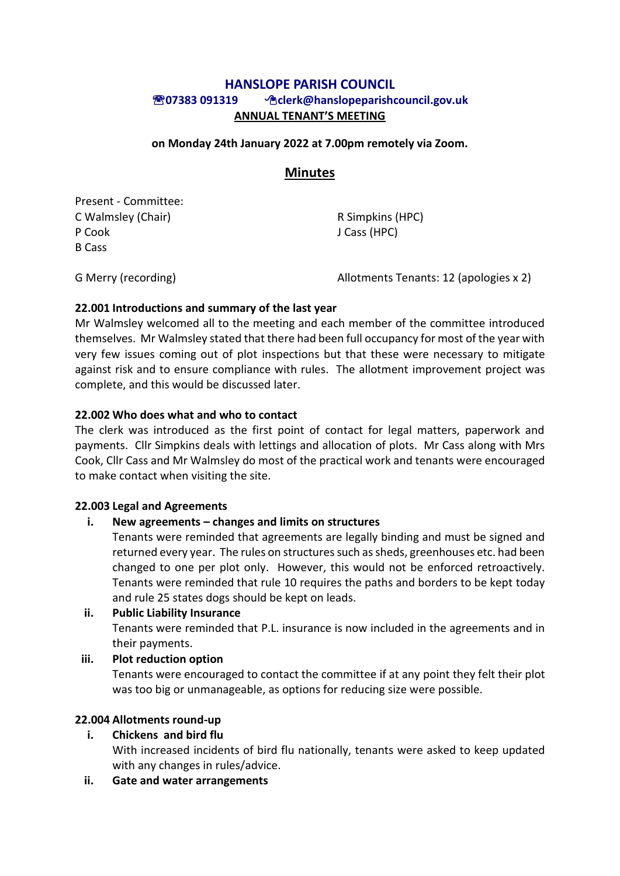# **HANSLOPE PARISH COUNCIL 07383 091319 clerk@hanslopeparishcouncil.gov.uk ANNUAL TENANT'S MEETING**

#### **on Monday 24th January 2022 at 7.00pm remotely via Zoom.**

### **Minutes**

Present - Committee: C Walmsley (Chair) R Simpkins (HPC) P Cook J Cass (HPC) B Cass

G Merry (recording) and allotments Tenants: 12 (apologies x 2)

#### **22.001 Introductions and summary of the last year**

Mr Walmsley welcomed all to the meeting and each member of the committee introduced themselves. Mr Walmsley stated that there had been full occupancy for most of the year with very few issues coming out of plot inspections but that these were necessary to mitigate against risk and to ensure compliance with rules. The allotment improvement project was complete, and this would be discussed later.

#### **22.002 Who does what and who to contact**

The clerk was introduced as the first point of contact for legal matters, paperwork and payments. Cllr Simpkins deals with lettings and allocation of plots. Mr Cass along with Mrs Cook, Cllr Cass and Mr Walmsley do most of the practical work and tenants were encouraged to make contact when visiting the site.

#### **22.003 Legal and Agreements**

#### **i. New agreements – changes and limits on structures**

Tenants were reminded that agreements are legally binding and must be signed and returned every year. The rules on structures such as sheds, greenhouses etc. had been changed to one per plot only. However, this would not be enforced retroactively. Tenants were reminded that rule 10 requires the paths and borders to be kept today and rule 25 states dogs should be kept on leads.

#### **ii. Public Liability Insurance**

Tenants were reminded that P.L. insurance is now included in the agreements and in their payments.

#### **iii. Plot reduction option**

Tenants were encouraged to contact the committee if at any point they felt their plot was too big or unmanageable, as options for reducing size were possible.

# **22.004 Allotments round-up**

# **i. Chickens and bird flu**

With increased incidents of bird flu nationally, tenants were asked to keep updated with any changes in rules/advice.

# **ii. Gate and water arrangements**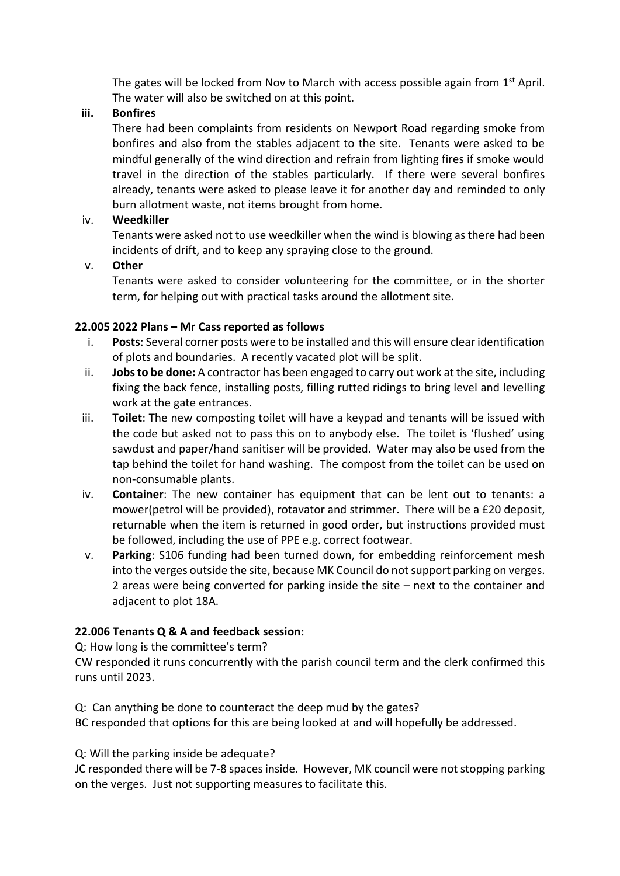The gates will be locked from Nov to March with access possible again from  $1<sup>st</sup>$  April. The water will also be switched on at this point.

### **iii. Bonfires**

There had been complaints from residents on Newport Road regarding smoke from bonfires and also from the stables adjacent to the site. Tenants were asked to be mindful generally of the wind direction and refrain from lighting fires if smoke would travel in the direction of the stables particularly. If there were several bonfires already, tenants were asked to please leave it for another day and reminded to only burn allotment waste, not items brought from home.

# iv. **Weedkiller**

Tenants were asked not to use weedkiller when the wind is blowing as there had been incidents of drift, and to keep any spraying close to the ground.

### v. **Other**

Tenants were asked to consider volunteering for the committee, or in the shorter term, for helping out with practical tasks around the allotment site.

### **22.005 2022 Plans – Mr Cass reported as follows**

- i. **Posts**: Several corner posts were to be installed and this will ensure clear identification of plots and boundaries. A recently vacated plot will be split.
- ii. **Jobs to be done:** A contractor has been engaged to carry out work at the site, including fixing the back fence, installing posts, filling rutted ridings to bring level and levelling work at the gate entrances.
- iii. **Toilet**: The new composting toilet will have a keypad and tenants will be issued with the code but asked not to pass this on to anybody else. The toilet is 'flushed' using sawdust and paper/hand sanitiser will be provided. Water may also be used from the tap behind the toilet for hand washing. The compost from the toilet can be used on non-consumable plants.
- iv. **Container**: The new container has equipment that can be lent out to tenants: a mower(petrol will be provided), rotavator and strimmer. There will be a £20 deposit, returnable when the item is returned in good order, but instructions provided must be followed, including the use of PPE e.g. correct footwear.
- v. **Parking**: S106 funding had been turned down, for embedding reinforcement mesh into the verges outside the site, because MK Council do not support parking on verges. 2 areas were being converted for parking inside the site – next to the container and adjacent to plot 18A.

# **22.006 Tenants Q & A and feedback session:**

Q: How long is the committee's term?

CW responded it runs concurrently with the parish council term and the clerk confirmed this runs until 2023.

Q: Can anything be done to counteract the deep mud by the gates?

BC responded that options for this are being looked at and will hopefully be addressed.

Q: Will the parking inside be adequate?

JC responded there will be 7-8 spaces inside. However, MK council were not stopping parking on the verges. Just not supporting measures to facilitate this.